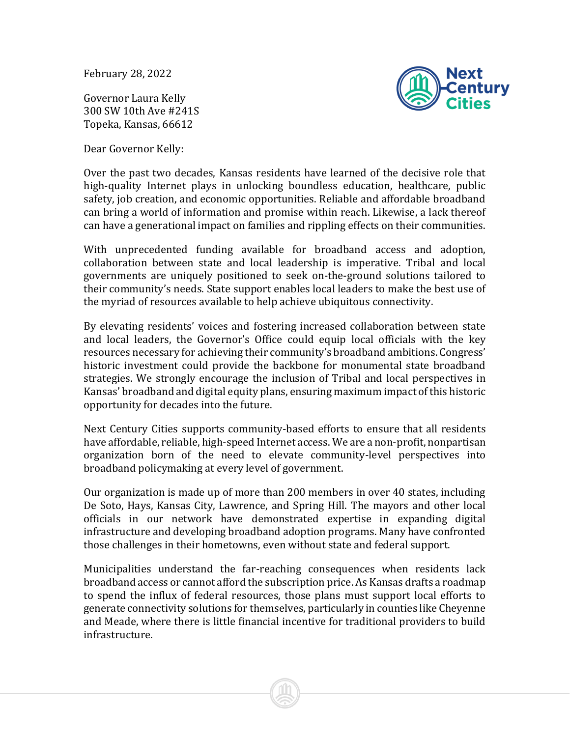February 28, 2022

Governor Laura Kelly 300 SW 10th Ave #241S Topeka, Kansas, 66612

Dear Governor Kelly:



Over the past two decades, Kansas residents have learned of the decisive role that high-quality Internet plays in unlocking boundless education, healthcare, public safety, job creation, and economic opportunities. Reliable and affordable broadband can bring a world of information and promise within reach. Likewise, a lack thereof can have a generational impact on families and rippling effects on their communities.

With unprecedented funding available for broadband access and adoption, collaboration between state and local leadership is imperative. Tribal and local governments are uniquely positioned to seek on-the-ground solutions tailored to their community's needs. State support enables local leaders to make the best use of the myriad of resources available to help achieve ubiquitous connectivity.

By elevating residents' voices and fostering increased collaboration between state and local leaders, the Governor's Office could equip local officials with the key resources necessary for achieving their community's broadband ambitions. Congress' historic investment could provide the backbone for monumental state broadband strategies. We strongly encourage the inclusion of Tribal and local perspectives in Kansas' broadband and digital equity plans, ensuring maximum impact of this historic opportunity for decades into the future.

Next Century Cities supports community-based efforts to ensure that all residents have affordable, reliable, high-speed Internet access. We are a non-profit, nonpartisan organization born of the need to elevate community-level perspectives into broadband policymaking at every level of government.

Our organization is made up of more than 200 members in over 40 states, including De Soto, Hays, Kansas City, Lawrence, and Spring Hill. The mayors and other local officials in our network have demonstrated expertise in expanding digital infrastructure and developing broadband adoption programs. Many have confronted those challenges in their hometowns, even without state and federal support.

Municipalities understand the far-reaching consequences when residents lack broadband access or cannot afford the subscription price. As Kansas drafts a roadmap to spend the influx of federal resources, those plans must support local efforts to generate connectivity solutions for themselves, particularly in counties like Cheyenne and Meade, where there is little financial incentive for traditional providers to build infrastructure.